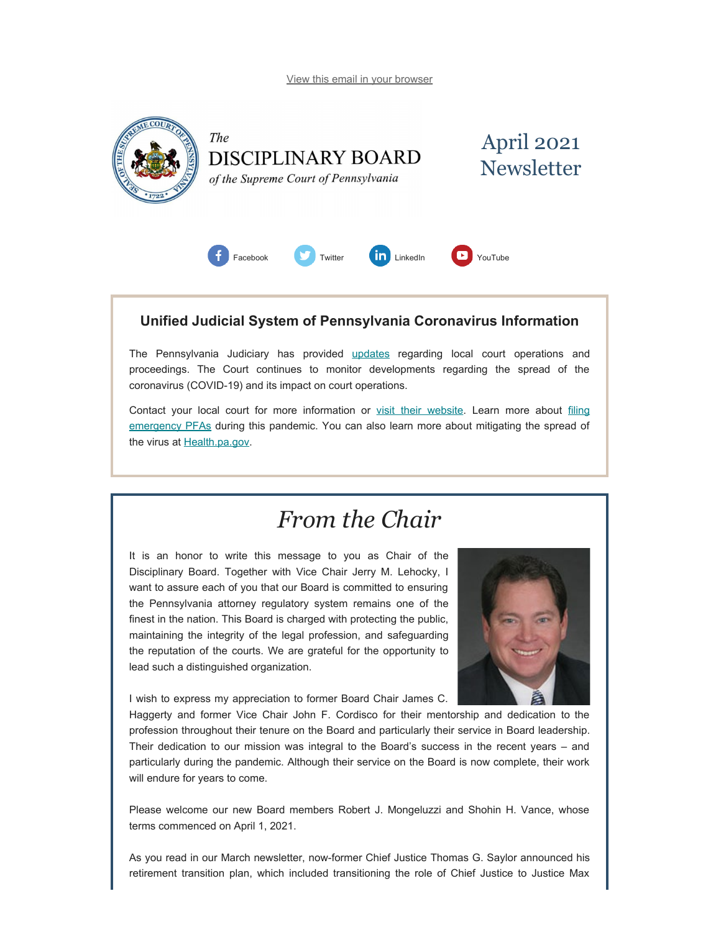[View this email in your browser](#page-0-0)

<span id="page-0-0"></span>

The **DISCIPLINARY BOARD** of the Supreme Court of Pennsylvania





### **Unified Judicial System of Pennsylvania Coronavirus Information**

The Pennsylvania Judiciary has provided [updates](http://www.pacourts.us/ujs-coronavirus-information) regarding local court operations and proceedings. The Court continues to monitor developments regarding the spread of the coronavirus (COVID-19) and its impact on court operations.

Contact your local court for more information or [visit their website.](http://www.pacourts.us/courts/courts-of-common-pleas/) Learn more about [filing](http://www.pacourts.us/learn/protection-orders) [emergency PFAs](http://www.pacourts.us/learn/protection-orders) during this pandemic. You can also learn more about mitigating the spread of the virus at [Health.pa.gov.](https://www.health.pa.gov/topics/disease/Pages/Coronavirus.aspx)

## *From the Chair*

It is an honor to write this message to you as Chair of the Disciplinary Board. Together with Vice Chair Jerry M. Lehocky, I want to assure each of you that our Board is committed to ensuring the Pennsylvania attorney regulatory system remains one of the finest in the nation. This Board is charged with protecting the public, maintaining the integrity of the legal profession, and safeguarding the reputation of the courts. We are grateful for the opportunity to lead such a distinguished organization.



I wish to express my appreciation to former Board Chair James C.

Haggerty and former Vice Chair John F. Cordisco for their mentorship and dedication to the profession throughout their tenure on the Board and particularly their service in Board leadership. Their dedication to our mission was integral to the Board's success in the recent years – and particularly during the pandemic. Although their service on the Board is now complete, their work will endure for years to come.

Please welcome our new Board members Robert J. Mongeluzzi and Shohin H. Vance, whose terms commenced on April 1, 2021.

As you read in our March newsletter, now-former Chief Justice Thomas G. Saylor announced his retirement transition plan, which included transitioning the role of Chief Justice to Justice Max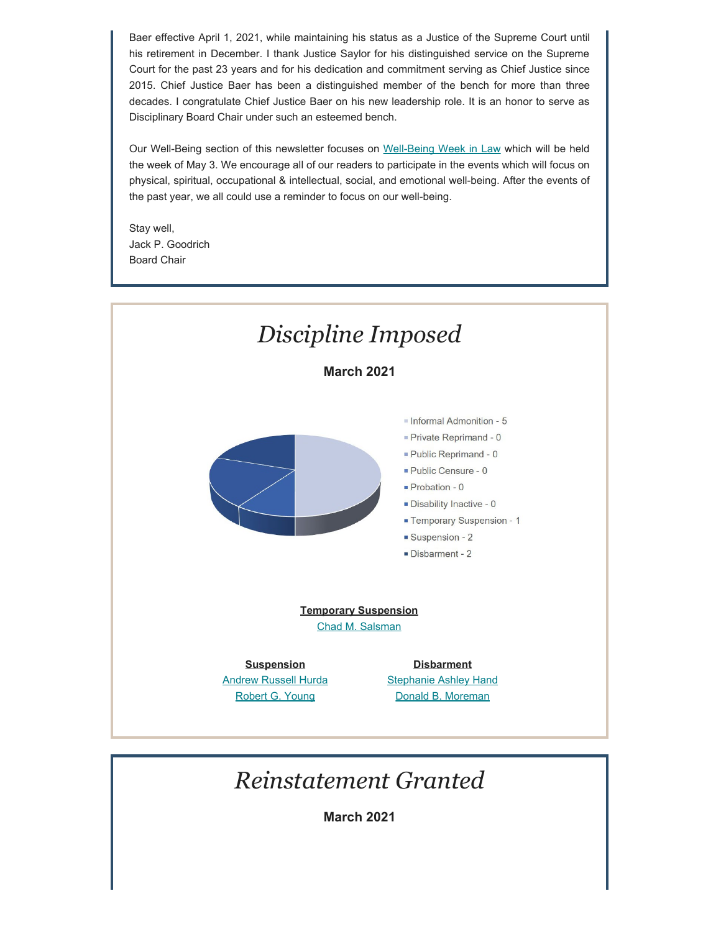Baer effective April 1, 2021, while maintaining his status as a Justice of the Supreme Court until his retirement in December. I thank Justice Saylor for his distinguished service on the Supreme Court for the past 23 years and for his dedication and commitment serving as Chief Justice since 2015. Chief Justice Baer has been a distinguished member of the bench for more than three decades. I congratulate Chief Justice Baer on his new leadership role. It is an honor to serve as Disciplinary Board Chair under such an esteemed bench.

Our Well-Being section of this newsletter focuses on [Well-Being Week in Law](https://lawyerwellbeing.net/lawyer-well-being-week/) which will be held the week of May 3. We encourage all of our readers to participate in the events which will focus on physical, spiritual, occupational & intellectual, social, and emotional well-being. After the events of the past year, we all could use a reminder to focus on our well-being.

Stay well, Jack P. Goodrich Board Chair



# *Reinstatement Granted*

**March 2021**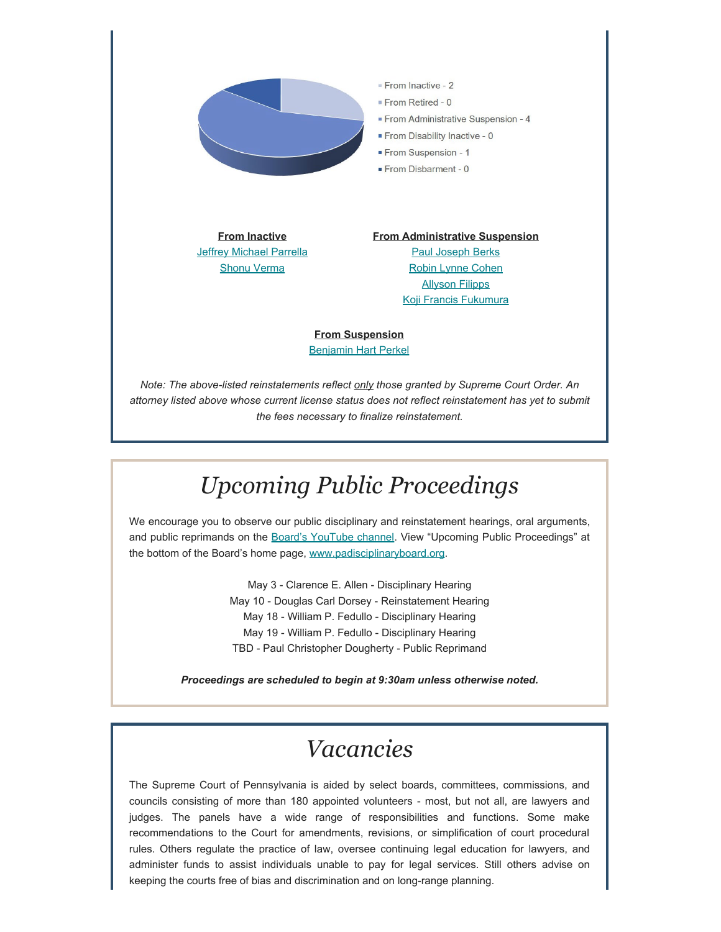

**From Inactive [Jeffrey Michael Parrella](https://www.padisciplinaryboard.org/for-the-public/find-attorney/attorney-detail/201946)** [Shonu Verma](https://www.padisciplinaryboard.org/for-the-public/find-attorney/attorney-detail/93303)

**From Administrative Suspension** [Paul Joseph Berks](https://www.padisciplinaryboard.org/for-the-public/find-attorney/attorney-detail/90694) [Robin Lynne Cohen](https://www.padisciplinaryboard.org/for-the-public/find-attorney/attorney-detail/48165) [Allyson Filipps](https://www.padisciplinaryboard.org/for-the-public/find-attorney/attorney-detail/209751) [Koji Francis Fukumura](https://www.padisciplinaryboard.org/for-the-public/find-attorney/attorney-detail/73831)

**From Suspension** [Benjamin Hart Perkel](https://www.padisciplinaryboard.org/for-the-public/find-attorney/attorney-detail/308095)

*Note: The above-listed reinstatements reflect only those granted by Supreme Court Order. An attorney listed above whose current license status does not reflect reinstatement has yet to submit the fees necessary to finalize reinstatement.*

# *Upcoming Public Proceedings*

We encourage you to observe our public disciplinary and reinstatement hearings, oral arguments, and public reprimands on the [Board's YouTube channel.](https://www.youtube.com/channel/UC7Rzfgcm91b2y3TRTXAViHw) View "Upcoming Public Proceedings" at the bottom of the Board's home page, [www.padisciplinaryboard.org.](https://www.padisciplinaryboard.org/)

> May 3 - Clarence E. Allen - Disciplinary Hearing May 10 - Douglas Carl Dorsey - Reinstatement Hearing May 18 - William P. Fedullo - Disciplinary Hearing May 19 - William P. Fedullo - Disciplinary Hearing TBD - Paul Christopher Dougherty - Public Reprimand

*Proceedings are scheduled to begin at 9:30am unless otherwise noted.*

## *Vacancies*

The Supreme Court of Pennsylvania is aided by select boards, committees, commissions, and councils consisting of more than 180 appointed volunteers - most, but not all, are lawyers and judges. The panels have a wide range of responsibilities and functions. Some make recommendations to the Court for amendments, revisions, or simplification of court procedural rules. Others regulate the practice of law, oversee continuing legal education for lawyers, and administer funds to assist individuals unable to pay for legal services. Still others advise on keeping the courts free of bias and discrimination and on long-range planning.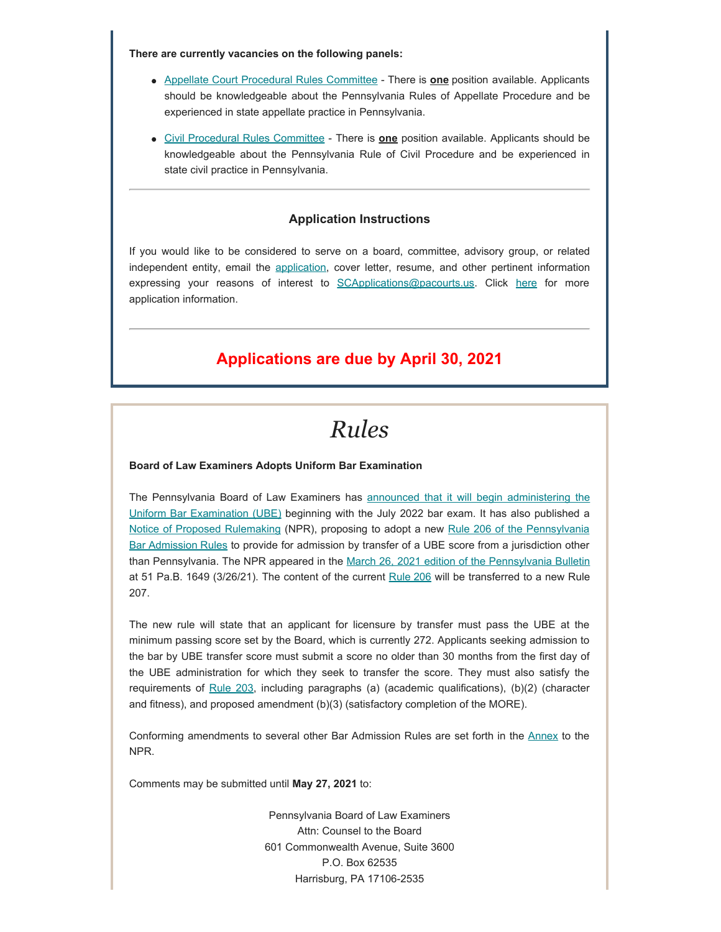**There are currently vacancies on the following panels:**

- [Appellate Court Procedural Rules Committee](http://www.pacourts.us/courts/supreme-court/committees/rules-committees/appellate-court-procedural-rules-committee)  There is **one** position available. Applicants should be knowledgeable about the Pennsylvania Rules of Appellate Procedure and be experienced in state appellate practice in Pennsylvania.
- [Civil Procedural Rules Committee](http://www.pacourts.us/courts/supreme-court/committees/rules-committees/civil-procedural-rules-committee) There is **one** position available. Applicants should be knowledgeable about the Pennsylvania Rule of Civil Procedure and be experienced in state civil practice in Pennsylvania.

#### **Application Instructions**

If you would like to be considered to serve on a board, committee, advisory group, or related independent entity, email the [application](http://www.pacourts.us/assets/files/setting-1943/file-58.pdf?cb=178bf0), cover letter, resume, and other pertinent information expressing your reasons of interest to [SCApplications@pacourts.us](mailto:SCApplications@pacourts.us). Click [here](http://www.pacourts.us/courts/supreme-court/committees/) for more application information.

### **Applications are due by April 30, 2021**

### *Rules*

#### **Board of Law Examiners Adopts Uniform Bar Examination**

The Pennsylvania Board of Law Examiners has [announced that it will begin administering the](https://www.pabarexam.org/bar_exam_information/UBEInfo.htm) [Uniform Bar Examination \(UBE\)](https://www.pabarexam.org/bar_exam_information/UBEInfo.htm) beginning with the July 2022 bar exam. It has also published a [Notice of Proposed Rulemaking](https://www.pabarexam.org/pdf/Pa._Bulletin_Notice.pdf) (NPR), proposing to adopt a new [Rule 206 of the Pennsylvania](https://www.pabarexam.org/pdf/Annex%20A%20(003).pdf) [Bar Admission Rules](https://www.pabarexam.org/pdf/Annex%20A%20(003).pdf) to provide for admission by transfer of a UBE score from a jurisdiction other than Pennsylvania. The NPR appeared in the [March 26, 2021 edition of the Pennsylvania Bulletin](http://www.pacodeandbulletin.gov/secure/pabulletin/data/vol51/51-13/51_13_cts.pdf) at 51 Pa.B. 1649 (3/26/21). The content of the current [Rule 206](https://www.pabarexam.org/bar_admission_rules/206.htm) will be transferred to a new Rule 207.

The new rule will state that an applicant for licensure by transfer must pass the UBE at the minimum passing score set by the Board, which is currently 272. Applicants seeking admission to the bar by UBE transfer score must submit a score no older than 30 months from the first day of the UBE administration for which they seek to transfer the score. They must also satisfy the requirements of [Rule 203](https://www.pabarexam.org/bar_admission_rules/203.htm), including paragraphs (a) (academic qualifications), (b)(2) (character and fitness), and proposed amendment (b)(3) (satisfactory completion of the MORE).

Conforming amendments to several other Bar Admission Rules are set forth in the [Annex](https://www.pabarexam.org/pdf/Annex%20A%20(003).pdf) to the NPR.

Comments may be submitted until **May 27, 2021** to:

Pennsylvania Board of Law Examiners Attn: Counsel to the Board 601 Commonwealth Avenue, Suite 3600 P.O. Box 62535 Harrisburg, PA 17106-2535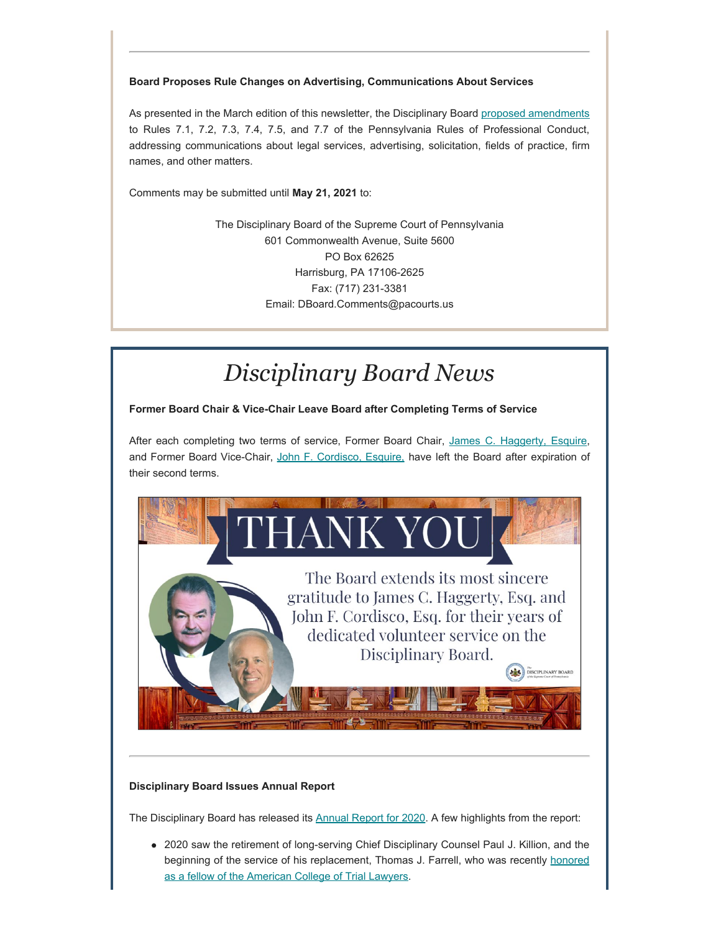### **Board Proposes Rule Changes on Advertising, Communications About Services**

As presented in the March edition of this newsletter, the Disciplinary Board proposed [amendments](http://www.padisciplinaryboard.org/news-media/news-article/1385/board-proposes-rule-changes-on-advertising-communications-about-services) to Rules 7.1, 7.2, 7.3, 7.4, 7.5, and 7.7 of the Pennsylvania Rules of Professional Conduct, addressing communications about legal services, advertising, solicitation, fields of practice, firm names, and other matters.

Comments may be submitted until **May 21, 2021** to:

The Disciplinary Board of the Supreme Court of Pennsylvania 601 Commonwealth Avenue, Suite 5600 PO Box 62625 Harrisburg, PA 17106-2625 Fax: (717) 231-3381 Email: DBoard.Comments@pacourts.us

# *Disciplinary Board News*

**Former Board Chair & Vice-Chair Leave Board after Completing Terms of Service** 

After each completing two terms of service, Former Board Chair, [James C. Haggerty, Esquire](https://www.padisciplinaryboard.org/news-media/news-article/1405/james-c-haggerty-esq-former-board-chair-leaves-board-after-completing-terms-of-service), and Former Board Vice-Chair, [John F. Cordisco, Esquire,](https://www.padisciplinaryboard.org/news-media/news-article/1404/john-f-cordisco-esq-former-board-vice-chair-leaves-board-after-completing-terms-of-service) have left the Board after expiration of their second terms.



### **Disciplinary Board Issues Annual Report**

The Disciplinary Board has released its [Annual Report for 2020](https://www.padisciplinaryboard.org/Storage/media/pdfs/20210311/184227-2020annualreport.pdf). A few highlights from the report:

2020 saw the retirement of long-serving Chief Disciplinary Counsel Paul J. Killion, and the beginning of the service of his replacement, Thomas J. Farrell, who was recently [honored](https://www.padisciplinaryboard.org/news-media/news-article/1392/chief-disciplinary-counsel-thomas-j-farrell-admitted-to-american-college-of-trial-lawyers) [as a fellow of the American College of Trial Lawyers.](https://www.padisciplinaryboard.org/news-media/news-article/1392/chief-disciplinary-counsel-thomas-j-farrell-admitted-to-american-college-of-trial-lawyers)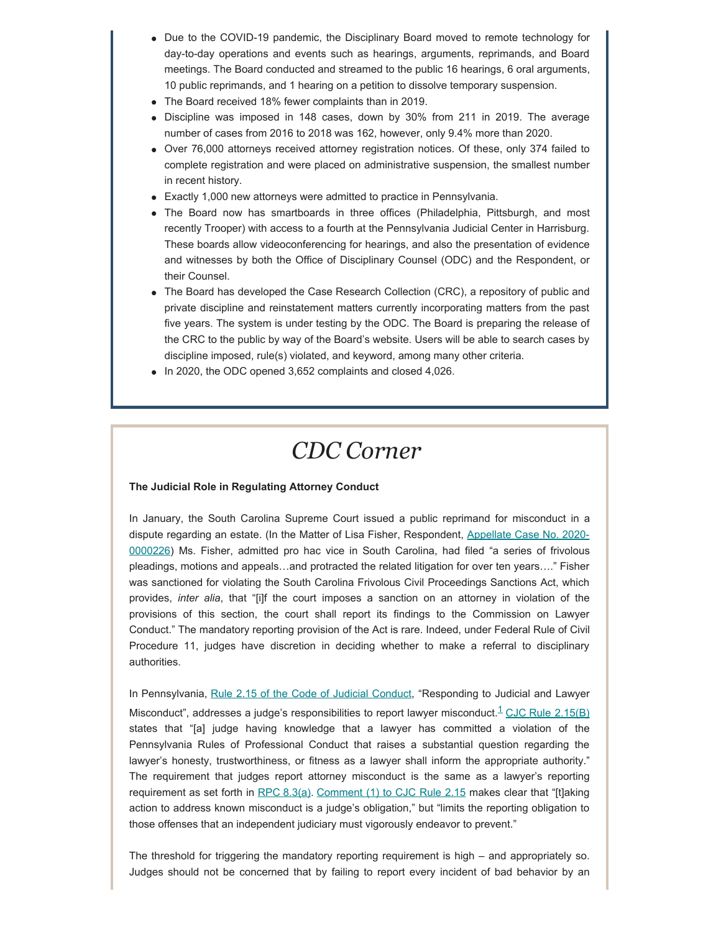- Due to the COVID-19 pandemic, the Disciplinary Board moved to remote technology for day-to-day operations and events such as hearings, arguments, reprimands, and Board meetings. The Board conducted and streamed to the public 16 hearings, 6 oral arguments, 10 public reprimands, and 1 hearing on a petition to dissolve temporary suspension.
- The Board received 18% fewer complaints than in 2019.
- Discipline was imposed in 148 cases, down by 30% from 211 in 2019. The average number of cases from 2016 to 2018 was 162, however, only 9.4% more than 2020.
- Over 76,000 attorneys received attorney registration notices. Of these, only 374 failed to complete registration and were placed on administrative suspension, the smallest number in recent history.
- Exactly 1,000 new attorneys were admitted to practice in Pennsylvania.
- The Board now has smartboards in three offices (Philadelphia, Pittsburgh, and most recently Trooper) with access to a fourth at the Pennsylvania Judicial Center in Harrisburg. These boards allow videoconferencing for hearings, and also the presentation of evidence and witnesses by both the Office of Disciplinary Counsel (ODC) and the Respondent, or their Counsel.
- The Board has developed the Case Research Collection (CRC), a repository of public and private discipline and reinstatement matters currently incorporating matters from the past five years. The system is under testing by the ODC. The Board is preparing the release of the CRC to the public by way of the Board's website. Users will be able to search cases by discipline imposed, rule(s) violated, and keyword, among many other criteria.
- In 2020, the ODC opened 3,652 complaints and closed 4,026.

# *CDC Corner*

#### **The Judicial Role in Regulating Attorney Conduct**

In January, the South Carolina Supreme Court issued a public reprimand for misconduct in a dispute regarding an estate. (In the Matter of Lisa Fisher, Respondent, [Appellate Case No. 2020-](https://law.justia.com/cases/south-carolina/supreme-court/2021/28006.html) [0000226\)](https://law.justia.com/cases/south-carolina/supreme-court/2021/28006.html) Ms. Fisher, admitted pro hac vice in South Carolina, had filed "a series of frivolous pleadings, motions and appeals…and protracted the related litigation for over ten years…." Fisher was sanctioned for violating the South Carolina Frivolous Civil Proceedings Sanctions Act, which provides, *inter alia*, that "[i]f the court imposes a sanction on an attorney in violation of the provisions of this section, the court shall report its findings to the Commission on Lawyer Conduct." The mandatory reporting provision of the Act is rare. Indeed, under Federal Rule of Civil Procedure 11, judges have discretion in deciding whether to make a referral to disciplinary authorities.

<span id="page-5-0"></span>In Pennsylvania, [Rule 2.15 of the Code of Judicial Conduct](http://judicialconductboardofpa.org/code-of-judicial-conduct/#2.15.), "Responding to Judicial and Lawyer Misconduct", addresses a judge's responsibilities to report lawyer misconduct.<sup>[1](#page-6-0)</sup> [CJC](http://judicialconductboardofpa.org/code-of-judicial-conduct/#2.15.) [Rule 2.15\(B\)](http://judicialconductboardofpa.org/code-of-judicial-conduct/#2.15.) states that "[a] judge having knowledge that a lawyer has committed a violation of the Pennsylvania Rules of Professional Conduct that raises a substantial question regarding the lawyer's honesty, trustworthiness, or fitness as a lawyer shall inform the appropriate authority." The requirement that judges report attorney misconduct is the same as a lawyer's reporting requirement as set forth in [RPC 8.3\(a\)](https://www.padisciplinaryboard.org/for-attorneys/rules/rule/3/the-rules-of-professional-conduct#rule-259). [Comment \(1\) to CJC Rule 2.15](http://judicialconductboardofpa.org/code-of-judicial-conduct/#2.15.) makes clear that "[t]aking action to address known misconduct is a judge's obligation," but "limits the reporting obligation to those offenses that an independent judiciary must vigorously endeavor to prevent."

The threshold for triggering the mandatory reporting requirement is high – and appropriately so. Judges should not be concerned that by failing to report every incident of bad behavior by an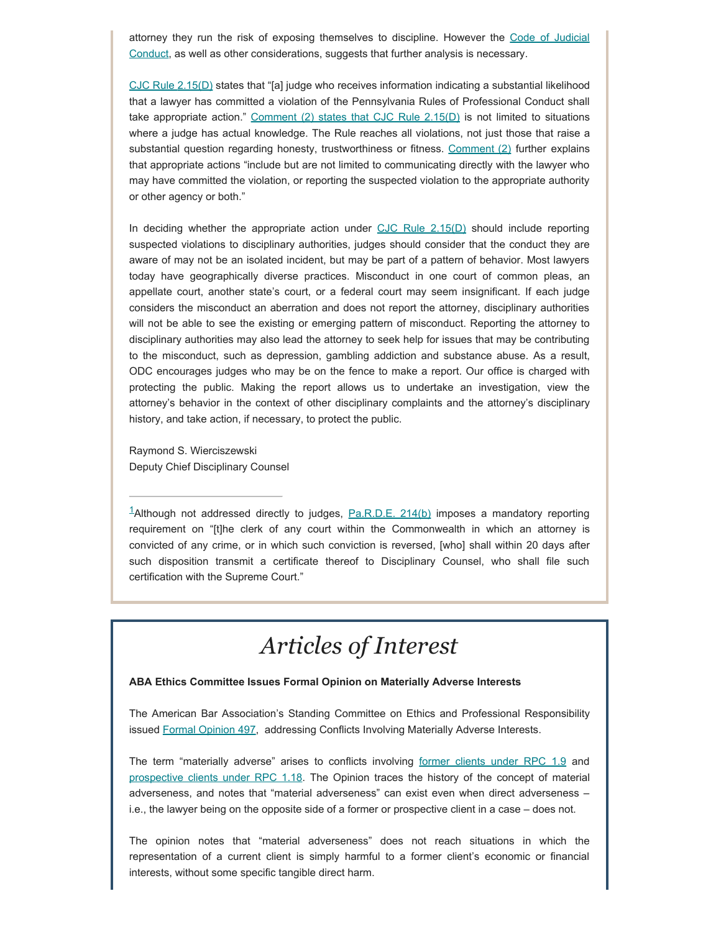attorney they run the risk of exposing themselves to discipline. However the [Code of Judicial](http://judicialconductboardofpa.org/code-of-judicial-conduct/) [Conduct](http://judicialconductboardofpa.org/code-of-judicial-conduct/), as well as other considerations, suggests that further analysis is necessary.

[CJC Rule 2.15\(D\)](http://judicialconductboardofpa.org/code-of-judicial-conduct/#2.15.) states that "[a] judge who receives information indicating a substantial likelihood that a lawyer has committed a violation of the Pennsylvania Rules of Professional Conduct shall take appropriate action." Comment  $(2)$  states that CJC Rule  $2.15(D)$  is not limited to situations where a judge has actual knowledge. The Rule reaches all violations, not just those that raise a substantial question regarding honesty, trustworthiness or fitness. Comment  $(2)$  further explains that appropriate actions "include but are not limited to communicating directly with the lawyer who may have committed the violation, or reporting the suspected violation to the appropriate authority or other agency or both."

In deciding whether the appropriate action under  $CJC$  Rule  $2.15(D)$  should include reporting suspected violations to disciplinary authorities, judges should consider that the conduct they are aware of may not be an isolated incident, but may be part of a pattern of behavior. Most lawyers today have geographically diverse practices. Misconduct in one court of common pleas, an appellate court, another state's court, or a federal court may seem insignificant. If each judge considers the misconduct an aberration and does not report the attorney, disciplinary authorities will not be able to see the existing or emerging pattern of misconduct. Reporting the attorney to disciplinary authorities may also lead the attorney to seek help for issues that may be contributing to the misconduct, such as depression, gambling addiction and substance abuse. As a result, ODC encourages judges who may be on the fence to make a report. Our office is charged with protecting the public. Making the report allows us to undertake an investigation, view the attorney's behavior in the context of other disciplinary complaints and the attorney's disciplinary history, and take action, if necessary, to protect the public.

Raymond S. Wierciszewski Deputy Chief Disciplinary Counsel

<span id="page-6-0"></span><sup>1</sup>Although not addressed directly to judges,  $Pa.R.D.E. 214(b)$  imposes a mandatory reporting requirement on "[t]he clerk of any court within the Commonwealth in which an attorney is convicted of any crime, or in which such conviction is reversed, [who] shall within 20 days after such disposition transmit a certificate thereof to Disciplinary Counsel, who shall file such certification with the Supreme Court."

# *Articles of Interest*

#### **ABA Ethics Committee Issues Formal Opinion on Materially Adverse Interests**

The American Bar Association's Standing Committee on Ethics and Professional Responsibility issued [Formal Opinion 497](https://www.americanbar.org/content/dam/aba/administrative/professional_responsibility/aba-formal-opinion-497.pdf), addressing Conflicts Involving Materially Adverse Interests.

The term "materially adverse" arises to conflicts involving [former clients under RPC 1.9](https://www.padisciplinaryboard.org/for-attorneys/rules/rule/3/the-rules-of-professional-conduct#rule-150) and [prospective clients under RPC 1.18.](https://www.padisciplinaryboard.org/for-attorneys/rules/rule/3/the-rules-of-professional-conduct#rule-159) The Opinion traces the history of the concept of material adverseness, and notes that "material adverseness" can exist even when direct adverseness – i.e., the lawyer being on the opposite side of a former or prospective client in a case – does not.

The opinion notes that "material adverseness" does not reach situations in which the representation of a current client is simply harmful to a former client's economic or financial interests, without some specific tangible direct harm.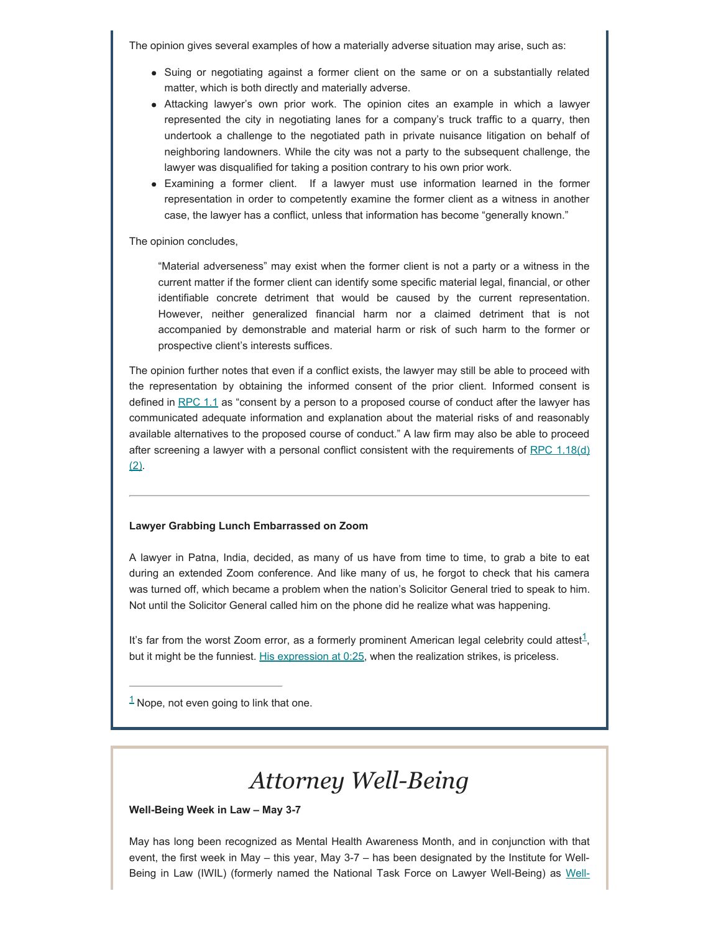The opinion gives several examples of how a materially adverse situation may arise, such as:

- Suing or negotiating against a former client on the same or on a substantially related matter, which is both directly and materially adverse.
- Attacking lawyer's own prior work. The opinion cites an example in which a lawyer represented the city in negotiating lanes for a company's truck traffic to a quarry, then undertook a challenge to the negotiated path in private nuisance litigation on behalf of neighboring landowners. While the city was not a party to the subsequent challenge, the lawyer was disqualified for taking a position contrary to his own prior work.
- Examining a former client. If a lawyer must use information learned in the former representation in order to competently examine the former client as a witness in another case, the lawyer has a conflict, unless that information has become "generally known."

The opinion concludes,

"Material adverseness" may exist when the former client is not a party or a witness in the current matter if the former client can identify some specific material legal, financial, or other identifiable concrete detriment that would be caused by the current representation. However, neither generalized financial harm nor a claimed detriment that is not accompanied by demonstrable and material harm or risk of such harm to the former or prospective client's interests suffices.

The opinion further notes that even if a conflict exists, the lawyer may still be able to proceed with the representation by obtaining the informed consent of the prior client. Informed consent is defined in [RPC 1.1](https://www.padisciplinaryboard.org/for-attorneys/rules/rule/3/the-rules-of-professional-conduct#rule-6) as "consent by a person to a proposed course of conduct after the lawyer has communicated adequate information and explanation about the material risks of and reasonably available alternatives to the proposed course of conduct." A law firm may also be able to proceed after screening a lawyer with a personal conflict consistent with the requirements of RPC  $1.18(d)$  $(2)$ .

#### **Lawyer Grabbing Lunch Embarrassed on Zoom**

A lawyer in Patna, India, decided, as many of us have from time to time, to grab a bite to eat during an extended Zoom conference. And like many of us, he forgot to check that his camera was turned off, which became a problem when the nation's Solicitor General tried to speak to him. Not until the Solicitor General called him on the phone did he realize what was happening.

<span id="page-7-1"></span>It's far from the worst Zoom error, as a formerly prominent American legal celebrity could attest<sup>1</sup>, but it might be the funniest. [His expression at 0:25](https://abovethelaw.com/2021/03/lawyer-fails-to-turn-off-camera-starts-shoveling-down-lunch-on-call-with-top-government-official/), when the realization strikes, is priceless.

<span id="page-7-0"></span> $1$  Nope, not even going to link that one.

## *Attorney Well-Being*

**Well-Being Week in Law – May 3-7**

May has long been recognized as Mental Health Awareness Month, and in conjunction with that event, the first week in May – this year, May 3-7 – has been designated by the Institute for Well-Being in Law (IWIL) (formerly named the National Task Force on Lawyer Well-Being) as [Well-](https://lawyerwellbeing.net/lawyer-well-being-week/)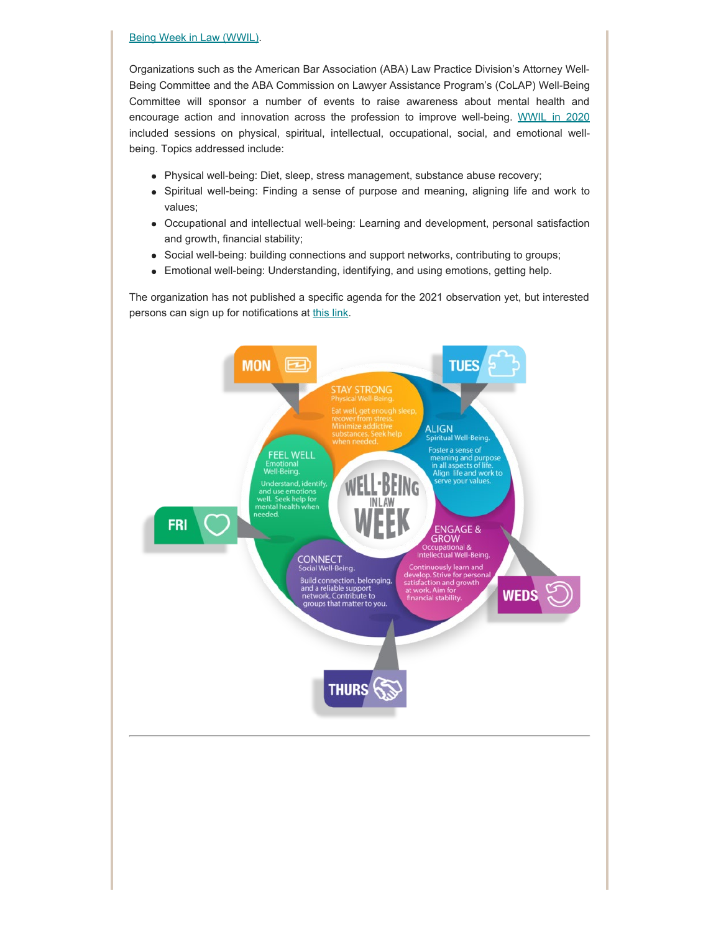#### [Being Week in Law \(WWIL\).](https://lawyerwellbeing.net/lawyer-well-being-week/)

Organizations such as the American Bar Association (ABA) Law Practice Division's Attorney Well-Being Committee and the ABA Commission on Lawyer Assistance Program's (CoLAP) Well-Being Committee will sponsor a number of events to raise awareness about mental health and encourage action and innovation across the profession to improve well-being. [WWIL in 2020](https://www.americanbar.org/groups/law_practice/events_cle/LawyerWellbeingWeek/) included sessions on physical, spiritual, intellectual, occupational, social, and emotional wellbeing. Topics addressed include:

- Physical well-being: Diet, sleep, stress management, substance abuse recovery;
- Spiritual well-being: Finding a sense of purpose and meaning, aligning life and work to values;
- Occupational and intellectual well-being: Learning and development, personal satisfaction and growth, financial stability;
- Social well-being: building connections and support networks, contributing to groups;
- Emotional well-being: Understanding, identifying, and using emotions, getting help.  $\bullet$

The organization has not published a specific agenda for the 2021 observation yet, but interested persons can sign up for notifications at [this link.](https://lawyerwellbeing.net/lawyer-well-being-week/)

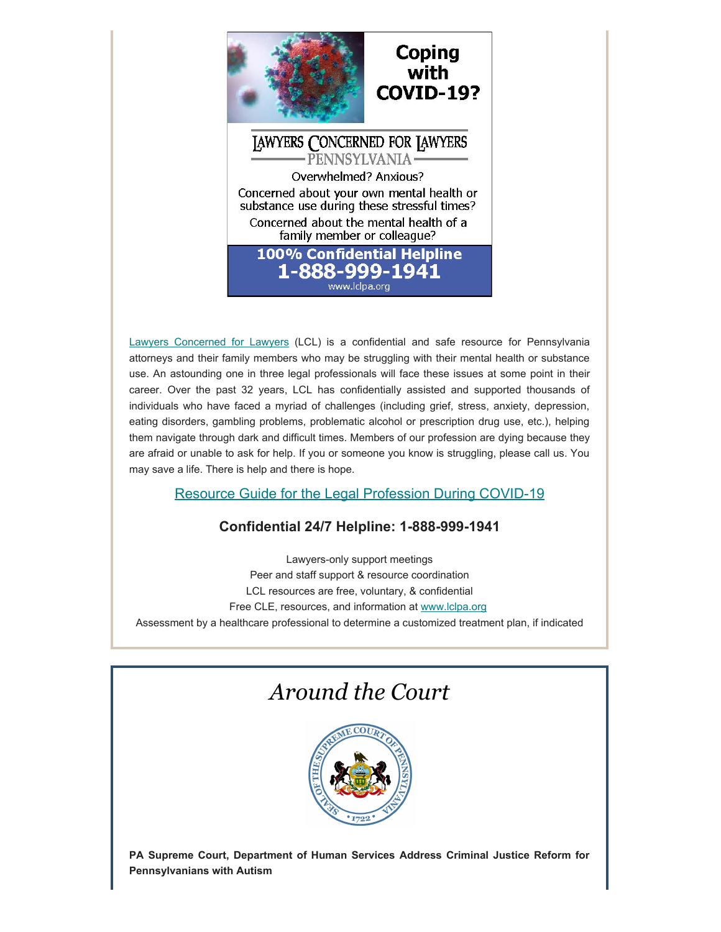

[Lawyers Concerned for Lawyers](https://www.lclpa.org/) (LCL) is a confidential and safe resource for Pennsylvania attorneys and their family members who may be struggling with their mental health or substance use. An astounding one in three legal professionals will face these issues at some point in their career. Over the past 32 years, LCL has confidentially assisted and supported thousands of individuals who have faced a myriad of challenges (including grief, stress, anxiety, depression, eating disorders, gambling problems, problematic alcohol or prescription drug use, etc.), helping them navigate through dark and difficult times. Members of our profession are dying because they are afraid or unable to ask for help. If you or someone you know is struggling, please call us. You may save a life. There is help and there is hope.

### Resource Guide [for the Legal Profession During COVID-19](https://www.lclpa.org/wp-content/uploads/2021/03/March-2021-LCL-COVID-Resource-Guide.pdf)

### **Confidential 24/7 Helpline: 1-888-999-1941**

Lawyers-only support meetings Peer and staff support & resource coordination LCL resources are free, voluntary, & confidential Free CLE, resources, and information at [www.lclpa.org](https://www.lclpa.org/) Assessment by a healthcare professional to determine a customized treatment plan, if indicated

### *Around the Court*



**PA Supreme Court, Department of Human Services Address Criminal Justice Reform for Pennsylvanians with Autism**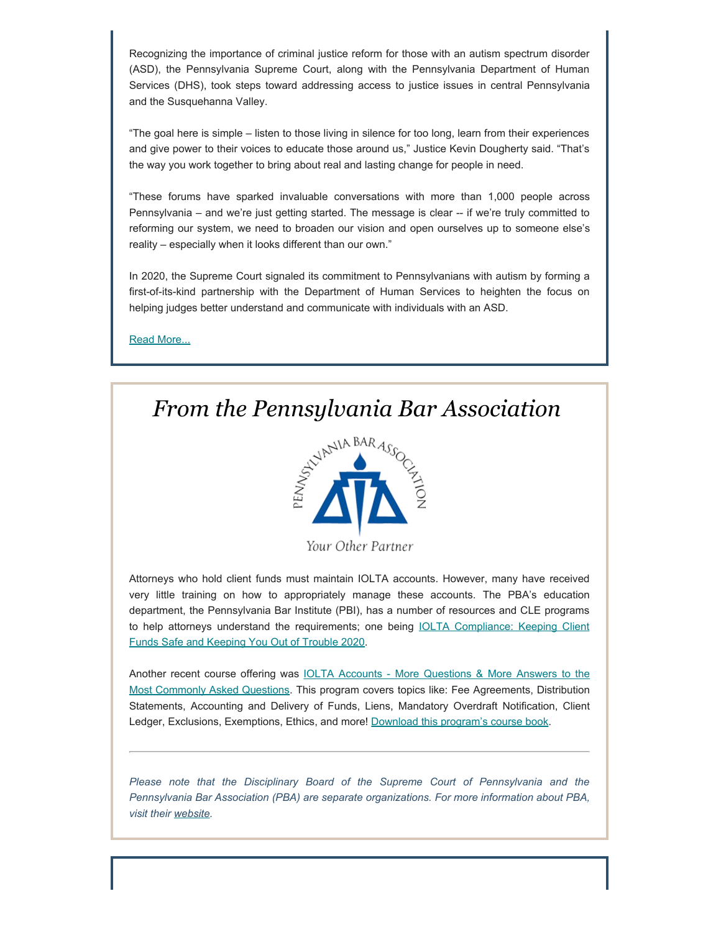Recognizing the importance of criminal justice reform for those with an autism spectrum disorder (ASD), the Pennsylvania Supreme Court, along with the Pennsylvania Department of Human Services (DHS), took steps toward addressing access to justice issues in central Pennsylvania and the Susquehanna Valley.

"The goal here is simple – listen to those living in silence for too long, learn from their experiences and give power to their voices to educate those around us," Justice Kevin Dougherty said. "That's the way you work together to bring about real and lasting change for people in need.

"These forums have sparked invaluable conversations with more than 1,000 people across Pennsylvania – and we're just getting started. The message is clear -- if we're truly committed to reforming our system, we need to broaden our vision and open ourselves up to someone else's reality – especially when it looks different than our own."

In 2020, the Supreme Court signaled its commitment to Pennsylvanians with autism by forming a first-of-its-kind partnership with the Department of Human Services to heighten the focus on helping judges better understand and communicate with individuals with an ASD.

[Read More...](http://www.pacourts.us/assets/files/newsrelease-1/file-11337.pdf?cb=2404c8)



*From the Pennsylvania Bar Association*

Your Other Partner

Attorneys who hold client funds must maintain IOLTA accounts. However, many have received very little training on how to appropriately manage these accounts. The PBA's education department, the Pennsylvania Bar Institute (PBI), has a number of resources and CLE programs to help attorneys understand the requirements; one being **IOLTA Compliance**: Keeping Client [Funds Safe and Keeping You Out of Trouble 2020.](https://www.pbi.org/Meetings/Meeting.aspx?ID=39521&utm_medium=email&_hsmi=117177482&_hsenc=p2ANqtz-9OHcMBY-AYGH-tfPfOcdBcP7-CU8Nhjh4eXBU6iN4e6ocW69p4VIsq_V_DYjMro5Slushw7CZlbzop8q8M8hF1n6gxwA&utm_content=117177482&utm_source=hs_email)

Another recent course offering was [IOLTA Accounts - More Questions & More Answers to the](https://pbi.org/Meetings/Meeting.aspx?ID=39928) [Most Commonly Asked Questions](https://pbi.org/Meetings/Meeting.aspx?ID=39928). This program covers topics like: Fee Agreements, Distribution Statements, Accounting and Delivery of Funds, Liens, Mandatory Overdraft Notification, Client Ledger, Exclusions, Exemptions, Ethics, and more! [Download this program's course book](https://www.pbi.org/ProductCatalog/Product.aspx?ID=40387).

*Please note that the Disciplinary Board of the Supreme Court of Pennsylvania and the Pennsylvania Bar Association (PBA) are separate organizations. For more information about PBA, visit their [website](https://www.pabar.org/site/).*